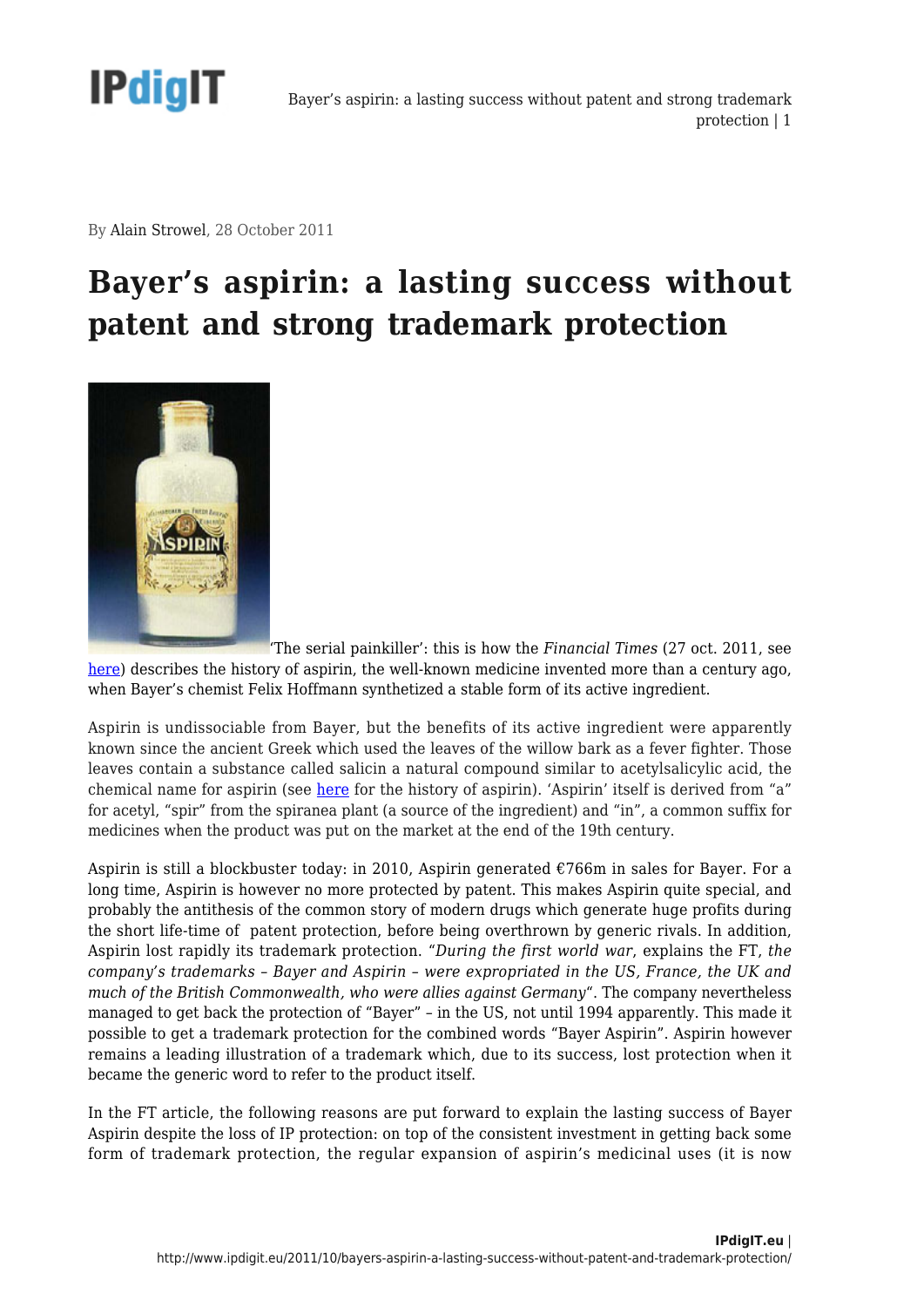

By Alain Strowel, 28 October 2011

## **Bayer's aspirin: a lasting success without patent and strong trademark protection**



['](http://www.ipdigit.eu/wp-content/uploads/2011/10/Aspirin-bottle.jpg)The serial painkiller': this is how the *Financial Times* (27 oct. 2011, see [here\)](http://www.ft.com/intl/cms/s/0/f7345e36-ffbc-11e0-8441-00144feabdc0.html?ftcamp=rss#axzz1c3SianT4) describes the history of aspirin, the well-known medicine invented more than a century ago, when Bayer's chemist Felix Hoffmann synthetized a stable form of its active ingredient.

Aspirin is undissociable from Bayer, but the benefits of its active ingredient were apparently known since the ancient Greek which used the leaves of the willow bark as a fever fighter. Those leaves contain a substance called salicin a natural compound similar to acetylsalicylic acid, the chemical name for aspirin (see [here](http://www.wonderdrug.com/pain/asp_history.htm) for the history of aspirin). 'Aspirin' itself is derived from "a" for acetyl, "spir" from the spiranea plant (a source of the ingredient) and "in", a common suffix for medicines when the product was put on the market at the end of the 19th century.

Aspirin is still a blockbuster today: in 2010, Aspirin generated €766m in sales for Bayer. For a long time, Aspirin is however no more protected by patent. This makes Aspirin quite special, and probably the antithesis of the common story of modern drugs which generate huge profits during the short life-time of patent protection, before being overthrown by generic rivals. In addition, Aspirin lost rapidly its trademark protection. "*During the first world war*, explains the FT, *the company's trademarks – Bayer and Aspirin – were expropriated in the US, France, the UK and much of the British Commonwealth, who were allies against Germany*". The company nevertheless managed to get back the protection of "Bayer" – in the US, not until 1994 apparently. This made it possible to get a trademark protection for the combined words "Bayer Aspirin". Aspirin however remains a leading illustration of a trademark which, due to its success, lost protection when it became the generic word to refer to the product itself.

In the FT article, the following reasons are put forward to explain the lasting success of Bayer Aspirin despite the loss of IP protection: on top of the consistent investment in getting back some form of trademark protection, the regular expansion of aspirin's medicinal uses (it is now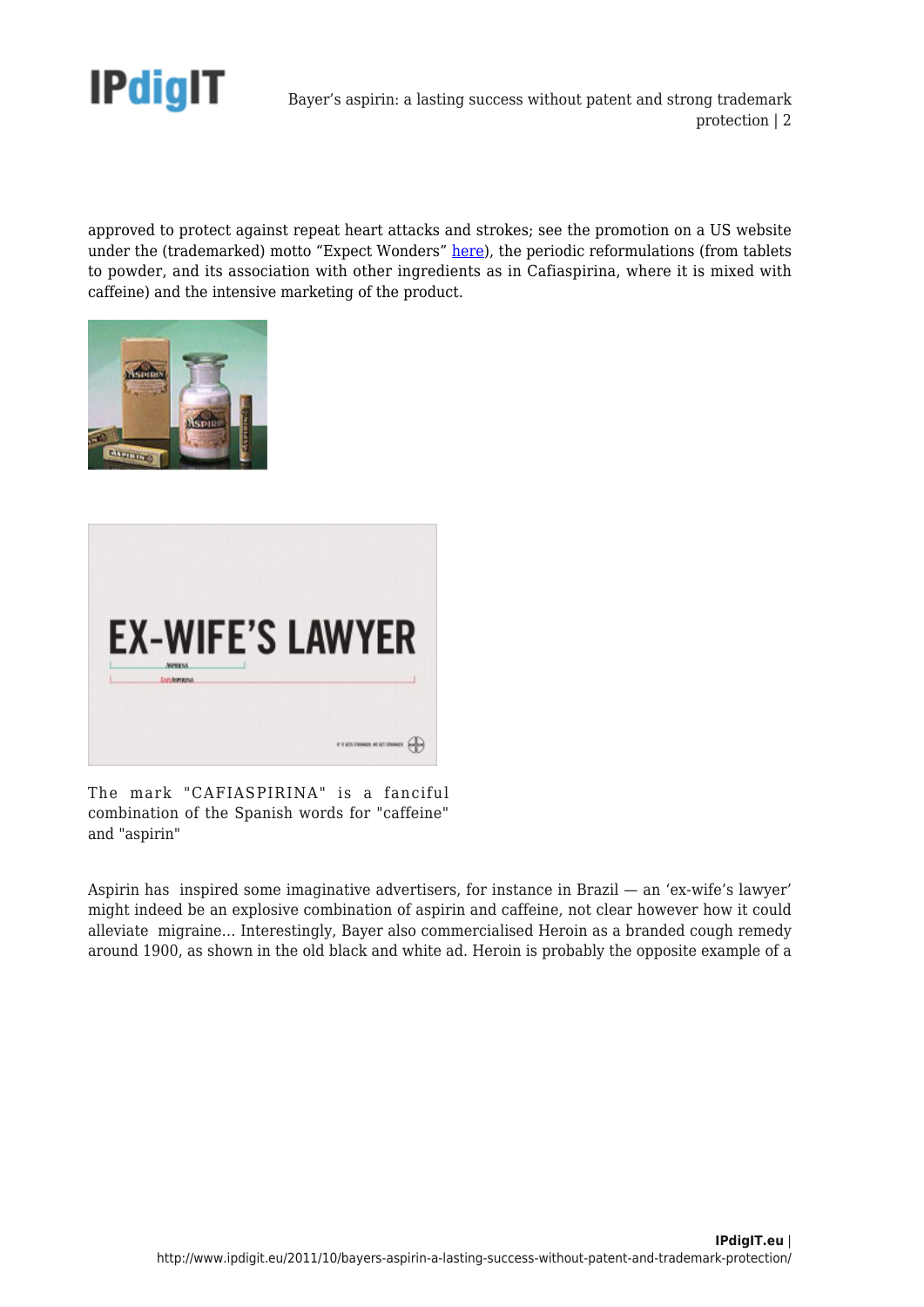

Bayer's aspirin: a lasting success without patent and strong trademark protection | 2

approved to protect against repeat heart attacks and strokes; see the promotion on a US website under the (trademarked) motto "Expect Wonders" [here](http://www.wonderdrug.com/index.html)), the periodic reformulations (from tablets to powder, and its association with other ingredients as in Cafiaspirina, where it is mixed with caffeine) and the intensive marketing of the product.





The mark "CAFIASPIRINA" is a fanciful combination of the Spanish words for "caffeine" and "aspirin"

Aspirin has inspired some imaginative advertisers, for instance in Brazil — an 'ex-wife's lawyer' might indeed be an explosive combination of aspirin and caffeine, not clear however how it could alleviate migraine… Interestingly, Bayer also commercialised Heroin as a branded cough remedy around 1900, as shown in the old black and white ad. Heroin is probably the opposite example of a